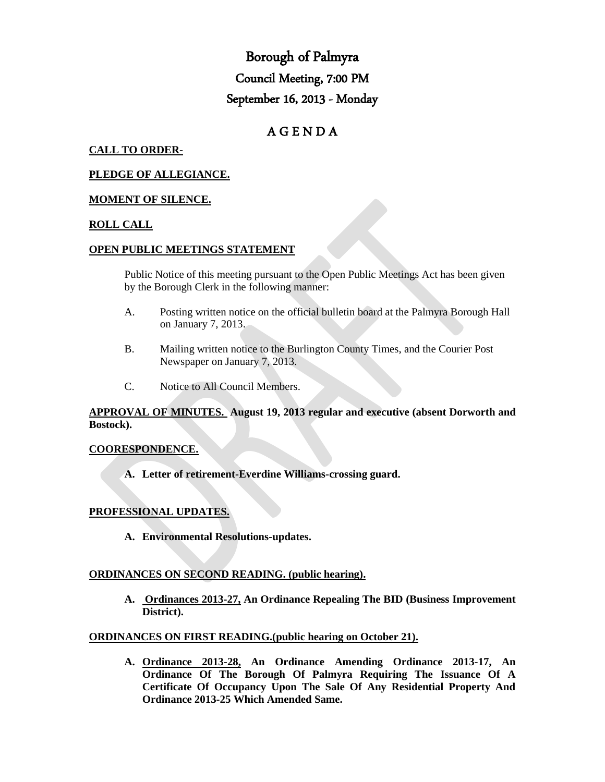# Borough of Palmyra Council Meeting, 7:00 PM September 16, 2013 - Monday

## A G E N D A

## **CALL TO ORDER-**

## **PLEDGE OF ALLEGIANCE.**

## **MOMENT OF SILENCE.**

## **ROLL CALL**

## **OPEN PUBLIC MEETINGS STATEMENT**

Public Notice of this meeting pursuant to the Open Public Meetings Act has been given by the Borough Clerk in the following manner:

- A. Posting written notice on the official bulletin board at the Palmyra Borough Hall on January 7, 2013.
- B. Mailing written notice to the Burlington County Times, and the Courier Post Newspaper on January 7, 2013.
- C. Notice to All Council Members.

**APPROVAL OF MINUTES. August 19, 2013 regular and executive (absent Dorworth and Bostock).**

#### **COORESPONDENCE.**

**A. Letter of retirement-Everdine Williams-crossing guard.**

## **PROFESSIONAL UPDATES.**

**A. Environmental Resolutions-updates.**

## **ORDINANCES ON SECOND READING. (public hearing).**

**A. Ordinances 2013-27, An Ordinance Repealing The BID (Business Improvement District).**

#### **ORDINANCES ON FIRST READING.(public hearing on October 21).**

**A. Ordinance 2013-28, An Ordinance Amending Ordinance 2013-17, An Ordinance Of The Borough Of Palmyra Requiring The Issuance Of A Certificate Of Occupancy Upon The Sale Of Any Residential Property And Ordinance 2013-25 Which Amended Same.**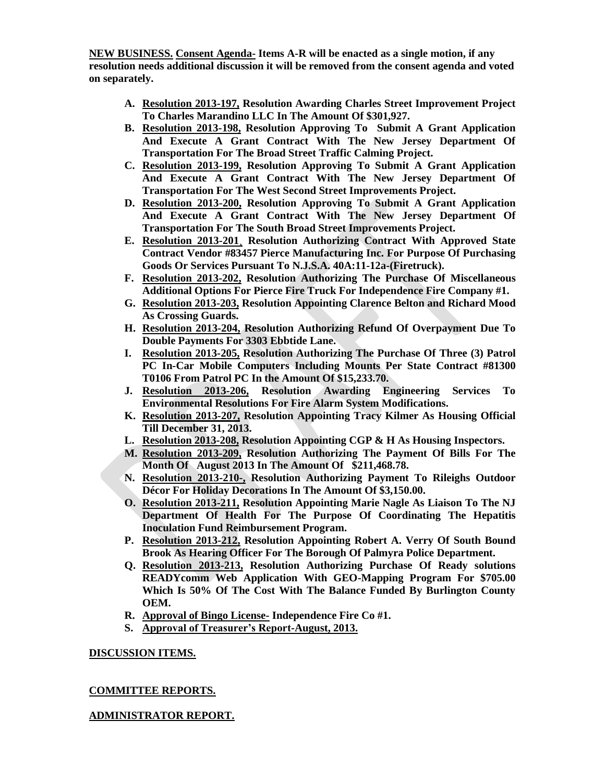**NEW BUSINESS. Consent Agenda- Items A-R will be enacted as a single motion, if any resolution needs additional discussion it will be removed from the consent agenda and voted on separately.**

- **A. Resolution 2013-197, Resolution Awarding Charles Street Improvement Project To Charles Marandino LLC In The Amount Of \$301,927.**
- **B. Resolution 2013-198, Resolution Approving To Submit A Grant Application And Execute A Grant Contract With The New Jersey Department Of Transportation For The Broad Street Traffic Calming Project.**
- **C. Resolution 2013-199, Resolution Approving To Submit A Grant Application And Execute A Grant Contract With The New Jersey Department Of Transportation For The West Second Street Improvements Project.**
- **D. Resolution 2013-200, Resolution Approving To Submit A Grant Application And Execute A Grant Contract With The New Jersey Department Of Transportation For The South Broad Street Improvements Project.**
- **E. Resolution 2013-201¸ Resolution Authorizing Contract With Approved State Contract Vendor #83457 Pierce Manufacturing Inc. For Purpose Of Purchasing Goods Or Services Pursuant To N.J.S.A. 40A:11-12a-(Firetruck).**
- **F. Resolution 2013-202, Resolution Authorizing The Purchase Of Miscellaneous Additional Options For Pierce Fire Truck For Independence Fire Company #1.**
- **G. Resolution 2013-203, Resolution Appointing Clarence Belton and Richard Mood As Crossing Guards.**
- **H. Resolution 2013-204, Resolution Authorizing Refund Of Overpayment Due To Double Payments For 3303 Ebbtide Lane.**
- **I. Resolution 2013-205, Resolution Authorizing The Purchase Of Three (3) Patrol PC In-Car Mobile Computers Including Mounts Per State Contract #81300 T0106 From Patrol PC In the Amount Of \$15,233.70.**
- **J. Resolution 2013-206, Resolution Awarding Engineering Services To Environmental Resolutions For Fire Alarm System Modifications.**
- **K. Resolution 2013-207, Resolution Appointing Tracy Kilmer As Housing Official Till December 31, 2013.**
- **L. Resolution 2013-208, Resolution Appointing CGP & H As Housing Inspectors.**
- **M. Resolution 2013-209, Resolution Authorizing The Payment Of Bills For The Month Of August 2013 In The Amount Of \$211,468.78.**
- **N. Resolution 2013-210-, Resolution Authorizing Payment To Rileighs Outdoor Décor For Holiday Decorations In The Amount Of \$3,150.00.**
- **O. Resolution 2013-211, Resolution Appointing Marie Nagle As Liaison To The NJ Department Of Health For The Purpose Of Coordinating The Hepatitis Inoculation Fund Reimbursement Program.**
- **P. Resolution 2013-212, Resolution Appointing Robert A. Verry Of South Bound Brook As Hearing Officer For The Borough Of Palmyra Police Department.**
- **Q. Resolution 2013-213, Resolution Authorizing Purchase Of Ready solutions READYcomm Web Application With GEO-Mapping Program For \$705.00 Which Is 50% Of The Cost With The Balance Funded By Burlington County OEM.**
- **R. Approval of Bingo License- Independence Fire Co #1.**
- **S. Approval of Treasurer's Report-August, 2013.**

## **DISCUSSION ITEMS.**

## **COMMITTEE REPORTS.**

## **ADMINISTRATOR REPORT.**